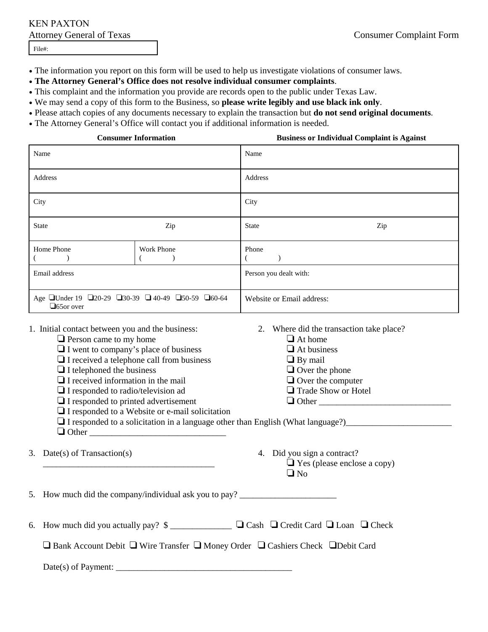## KEN PAXTON

File#:

- The information you report on this form will be used to help us investigate violations of consumer laws.
- **The Attorney General's Office does not resolve individual consumer complaints**.
- This complaint and the information you provide are records open to the public under Texas Law.
- We may send a copy of this form to the Business, so **please write legibly and use black ink only**.
- Please attach copies of any documents necessary to explain the transaction but **do not send original documents**.
- The Attorney General's Office will contact you if additional information is needed.

| <b>Consumer Information</b>                                              |            | <b>Business or Individual Complaint is Against</b> |
|--------------------------------------------------------------------------|------------|----------------------------------------------------|
| Name                                                                     |            | Name                                               |
| Address                                                                  |            | Address                                            |
| City                                                                     |            | City                                               |
| <b>State</b>                                                             | Zip        | <b>State</b><br>Zip                                |
| Home Phone                                                               | Work Phone | Phone                                              |
| Email address                                                            |            | Person you dealt with:                             |
| Age □Under 19 □20-29 □30-39 □ 40-49 □50-59 □60-64<br>$\square$ 65or over |            | Website or Email address:                          |

- 1. Initial contact between you and the business: 2. Where did the transaction take place?
	- $\Box$  Person came to my home  $\Box$  At home
	- $\Box$  I went to company's place of business  $\Box$  At business
	- $\Box$  I received a telephone call from business  $\Box$  By mail  $\Box$  I telephoned the business  $\Box$  Over the phone
	- $\Box$  I telephoned the business
	- $\Box$  I received information in the mail  $\Box$  Over the computer
	- $\Box$  I responded to radio/television ad  $\Box$  Trade Show or Hotel
	- ' I responded to printed advertisement ' Other \_\_\_\_\_\_\_\_\_\_\_\_\_\_\_\_\_\_\_\_\_\_\_\_\_\_\_\_\_\_
	- $\Box$  I responded to a Website or e-mail solicitation
	- $\Box$  I responded to a solicitation in a language other than English (What language?)
	- $\Box$  Other
- 
- 3. Date(s) of Transaction(s) 4. Did you sign a contract?  $\Box$  Yes (please enclose a copy)
	- $\Box$  No

5. How much did the company/individual ask you to pay?

| $\Box$ Bank Account Debit $\Box$ Wire Transfer $\Box$ Money Order $\Box$ Cashiers Check $\Box$ Debit Card |
|-----------------------------------------------------------------------------------------------------------|
|-----------------------------------------------------------------------------------------------------------|

 $Date(s)$  of Payment: